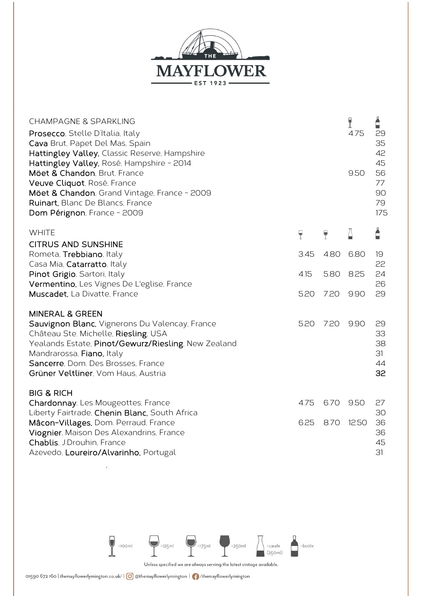

| <b>CHAMPAGNE &amp; SPARKLING</b><br>Prosecco, Stelle D'Italia, Italy<br>Cava Brut, Papet Del Mas, Spain<br>Hattingley Valley, Classic Reserve, Hampshire<br>Hattingley Valley, Rosé, Hampshire - 2014<br>Möet & Chandon, Brut, France<br>Veuve Cliquot, Rosé, France<br>Möet & Chandon, Grand Vintage, France - 2009<br>Ruinart, Blanc De Blancs, France<br>Dom Pérignon, France - 2009 |                |                | Ÿ<br>4.75<br>9.50 | Å<br>29<br>35<br>42<br>45<br>56<br>77<br>90<br>79<br>175 |
|-----------------------------------------------------------------------------------------------------------------------------------------------------------------------------------------------------------------------------------------------------------------------------------------------------------------------------------------------------------------------------------------|----------------|----------------|-------------------|----------------------------------------------------------|
| <b>WHITE</b>                                                                                                                                                                                                                                                                                                                                                                            | $\overline{P}$ | $\overline{P}$ | Ä                 | Ė                                                        |
| <b>CITRUS AND SUNSHINE</b><br>Rometa, Trebbiano, Italy<br>Casa Mia, Catarratto, Italy<br>Pinot Grigio, Sartori, Italy<br>Vermentino, Les Vignes De L'eglise, France<br>Muscadet, La Divatte, France                                                                                                                                                                                     | 3.45           | 4.80           | 6.80              | 19<br>22                                                 |
|                                                                                                                                                                                                                                                                                                                                                                                         | 4.15           | 5.80           | 8.25              | 24<br>26                                                 |
|                                                                                                                                                                                                                                                                                                                                                                                         | 5.20           | 7.20           | 9.90              | 29                                                       |
| <b>MINERAL &amp; GREEN</b><br>Sauvignon Blanc, Vignerons Du Valencay, France<br>Château Ste. Michelle, Riesling, USA<br>Yealands Estate, Pinot/Gewurz/Riesling, New Zealand<br>Mandrarossa, Fiano, Italy<br>Sancerre, Dom. Des Brosses, France<br>Grüner Veltliner, Vom Haus, Austria                                                                                                   | 5.20           | 7.20           | 9.90              | 29<br>33<br>38<br>31<br>44<br>32                         |
| <b>BIG &amp; RICH</b><br>Chardonnay, Les Mougeottes, France<br>Liberty Fairtrade, Chenin Blanc, South Africa<br>Mâcon-Villages, Dom. Perraud, France<br>Viognier, Maison Des Alexandrins, France<br>Chablis, J.Drouhin, France<br>Azevedo, Loureiro/Alvarinho, Portugal                                                                                                                 | 4.75<br>6.25   | 6.70<br>8.70   | 9.50<br>12.50     | 27<br>30<br>36<br>36<br>45<br>31                         |



Unless specified we are always serving the latest vintage available.

 $\bar{\epsilon}$